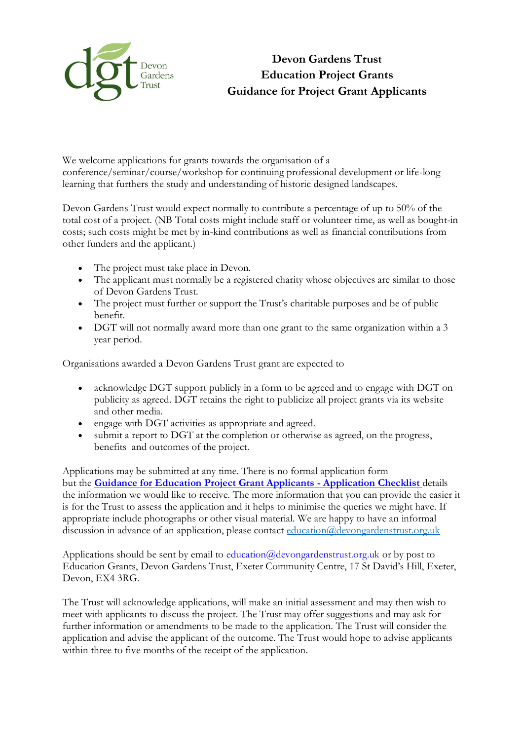

We welcome applications for grants towards the organisation of a conference/seminar/course/workshop for continuing professional development or life-long learning that furthers the study and understanding of historic designed landscapes.

Devon Gardens Trust would expect normally to contribute a percentage of up to 50% of the total cost of a project. (NB Total costs might include staff or volunteer time, as well as bought-in costs; such costs might be met by in-kind contributions as well as financial contributions from other funders and the applicant.)

- The project must take place in Devon.
- The applicant must normally be a registered charity whose objectives are similar to those of Devon Gardens Trust.
- The project must further or support the Trust's charitable purposes and be of public benefit.
- DGT will not normally award more than one grant to the same organization within a 3 year period.

Organisations awarded a Devon Gardens Trust grant are expected to

- acknowledge DGT support publicly in a form to be agreed and to engage with DGT on publicity as agreed. DGT retains the right to publicize all project grants via its website and other media.
- engage with DGT activities as appropriate and agreed.
- submit a report to DGT at the completion or otherwise as agreed, on the progress, benefits and outcomes of the project.

Applications may be submitted at any time. There is no formal application form but the **[Guidance for Education Project Grant Applicants](file://///sites/default/files/content/Education%252520Project%252520Application%252520Checklist.pdf) - Application Checklis[t](file://///sites/default/files/content/Education%252520Project%252520Application%252520Checklist.pdf)** details the information we would like to receive. The more information that you can provide the easier it is for the Trust to assess the application and it helps to minimise the queries we might have. If appropriate include photographs or other visual material. We are happy to have an informal discussion in advance of an application, please contact [education@devongardenstrust.org.uk](mailto:education@devongardenstrust.org.uk)

Applications should be sent by email to education@devongardenstrust.org.uk or by post to Education Grants, Devon Gardens Trust, Exeter Community Centre, 17 St David's Hill, Exeter, Devon, EX4 3RG.

The Trust will acknowledge applications, will make an initial assessment and may then wish to meet with applicants to discuss the project. The Trust may offer suggestions and may ask for further information or amendments to be made to the application. The Trust will consider the application and advise the applicant of the outcome. The Trust would hope to advise applicants within three to five months of the receipt of the application.